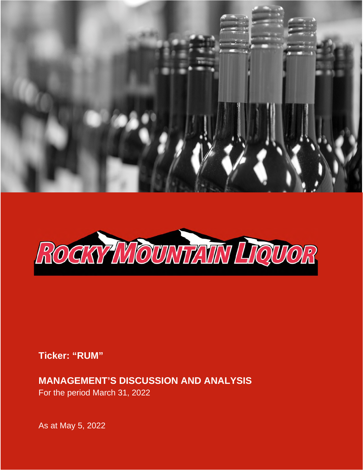



**Ticker: "RUM"** 

**MANAGEMENT'S DISCUSSION AND ANALYSIS**  For the period March 31, 2022

As at May 5, 2022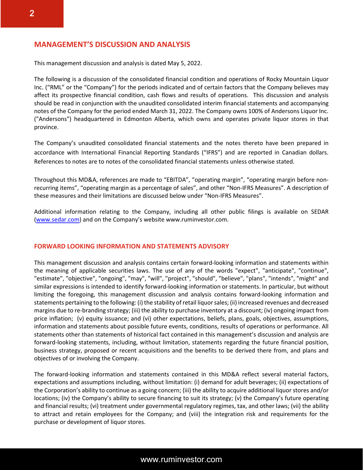# **MANAGEMENT'S DISCUSSION AND ANALYSIS**

This management discussion and analysis is dated May 5, 2022.

The following is a discussion of the consolidated financial condition and operations of Rocky Mountain Liquor Inc. ("RML" or the "Company") for the periods indicated and of certain factors that the Company believes may affect its prospective financial condition, cash flows and results of operations. This discussion and analysis should be read in conjunction with the unaudited consolidated interim financial statements and accompanying notes of the Company for the period ended March 31, 2022. The Company owns 100% of Andersons Liquor Inc. ("Andersons") headquartered in Edmonton Alberta, which owns and operates private liquor stores in that province.

The Company's unaudited consolidated financial statements and the notes thereto have been prepared in accordance with International Financial Reporting Standards ("IFRS") and are reported in Canadian dollars. References to notes are to notes of the consolidated financial statements unless otherwise stated.

Throughout this MD&A, references are made to "EBITDA", "operating margin", "operating margin before nonrecurring items", "operating margin as a percentage of sales", and other "Non-IFRS Measures". A description of these measures and their limitations are discussed below under "Non-IFRS Measures".

Additional information relating to the Company, including all other public filings is available on SEDAR (www.sedar.com) and on the Company's website www.ruminvestor.com.

#### **FORWARD LOOKING INFORMATION AND STATEMENTS ADVISORY**

This management discussion and analysis contains certain forward-looking information and statements within the meaning of applicable securities laws. The use of any of the words "expect", "anticipate", "continue", "estimate", "objective", "ongoing", "may", "will", "project", "should", "believe", "plans", "intends", "might" and similar expressions is intended to identify forward-looking information or statements. In particular, but without limiting the foregoing, this management discussion and analysis contains forward-looking information and statements pertaining to the following: (i) the stability of retail liquor sales; (ii) increased revenues and decreased margins due to re-branding strategy; (iii) the ability to purchase inventory at a discount; (iv) ongoing impact from price inflation; (v) equity issuance; and (vi) other expectations, beliefs, plans, goals, objectives, assumptions, information and statements about possible future events, conditions, results of operations or performance. All statements other than statements of historical fact contained in this management's discussion and analysis are forward-looking statements, including, without limitation, statements regarding the future financial position, business strategy, proposed or recent acquisitions and the benefits to be derived there from, and plans and objectives of or involving the Company.

The forward-looking information and statements contained in this MD&A reflect several material factors, expectations and assumptions including, without limitation: (i) demand for adult beverages; (ii) expectations of the Corporation's ability to continue as a going concern; (iii) the ability to acquire additional liquor stores and/or locations; (iv) the Company's ability to secure financing to suit its strategy; (v) the Company's future operating and financial results; (vi) treatment under governmental regulatory regimes, tax, and other laws; (vii) the ability to attract and retain employees for the Company; and (viii) the integration risk and requirements for the purchase or development of liquor stores.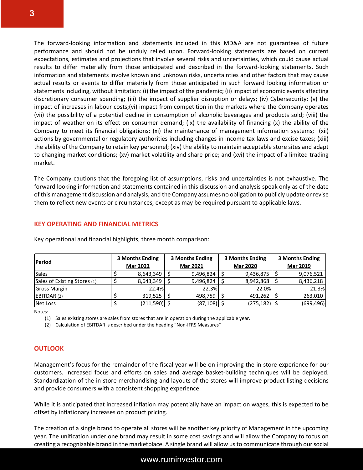The forward-looking information and statements included in this MD&A are not guarantees of future performance and should not be unduly relied upon. Forward-looking statements are based on current expectations, estimates and projections that involve several risks and uncertainties, which could cause actual results to differ materially from those anticipated and described in the forward-looking statements. Such information and statements involve known and unknown risks, uncertainties and other factors that may cause actual results or events to differ materially from those anticipated in such forward looking information or statements including, without limitation: (i) the impact of the pandemic; (ii) impact of economic events affecting discretionary consumer spending; (iii) the impact of supplier disruption or delays; (iv) Cybersecurity; (v) the impact of increases in labour costs;(vi) impact from competition in the markets where the Company operates (vii) the possibility of a potential decline in consumption of alcoholic beverages and products sold; (viii) the impact of weather on its effect on consumer demand; (ix) the availability of financing (x) the ability of the Company to meet its financial obligations; (xi) the maintenance of management information systems; (xii) actions by governmental or regulatory authorities including changes in income tax laws and excise taxes; (xiii) the ability of the Company to retain key personnel; (xiv) the ability to maintain acceptable store sites and adapt to changing market conditions; (xv) market volatility and share price; and (xvi) the impact of a limited trading market.

The Company cautions that the foregoing list of assumptions, risks and uncertainties is not exhaustive. The forward looking information and statements contained in this discussion and analysis speak only as of the date of this management discussion and analysis, and the Company assumes no obligation to publicly update or revise them to reflect new events or circumstances, except as may be required pursuant to applicable laws.

## **KEY OPERATING AND FINANCIAL METRICS**

| <b>Period</b>                |  | 3 Months Ending |  | 3 Months Ending |  | 3 Months Ending |  | 3 Months Ending |  |
|------------------------------|--|-----------------|--|-----------------|--|-----------------|--|-----------------|--|
|                              |  | <b>Mar 2022</b> |  | <b>Mar 2021</b> |  | <b>Mar 2020</b> |  | <b>Mar 2019</b> |  |
| <b>Sales</b>                 |  | 8,643,349       |  | 9,496,824       |  | 9,436,875       |  | 9,076,521       |  |
| Sales of Existing Stores (1) |  | 8,643,349       |  | 9,496,824       |  | 8,942,868       |  | 8,436,218       |  |
| <b>Gross Margin</b>          |  | 22.4%           |  | 22.3%           |  | 22.0%           |  | 21.3%           |  |
| EBITDAR (2)                  |  | 319.525         |  | 498,759         |  | 491.262         |  | 263,010         |  |
| Net Loss                     |  | (211,590)  \$   |  | $(87, 108)$ \$  |  | (275,182)  \$   |  | (699,496)       |  |

Key operational and financial highlights, three month comparison:

Notes:

(1) Sales existing stores are sales from stores that are in operation during the applicable year.

(2) Calculation of EBITDAR is described under the heading "Non-IFRS Measures"

## **OUTLOOK**

Management's focus for the remainder of the fiscal year will be on improving the in-store experience for our customers. Increased focus and efforts on sales and average basket-building techniques will be deployed. Standardization of the in-store merchandising and layouts of the stores will improve product listing decisions and provide consumers with a consistent shopping experience.

While it is anticipated that increased inflation may potentially have an impact on wages, this is expected to be offset by inflationary increases on product pricing.

The creation of a single brand to operate all stores will be another key priority of Management in the upcoming year. The unification under one brand may result in some cost savings and will allow the Company to focus on creating a recognizable brand in the marketplace. A single brand will allow us to communicate through our social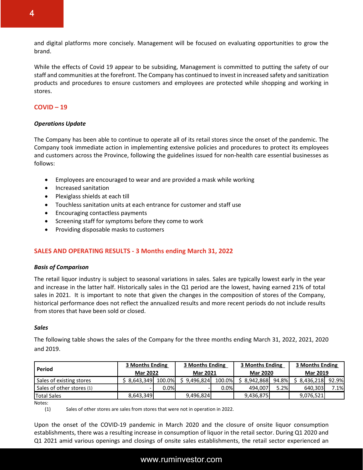and digital platforms more concisely. Management will be focused on evaluating opportunities to grow the brand.

While the effects of Covid 19 appear to be subsiding, Management is committed to putting the safety of our staff and communities at the forefront. The Company has continued to invest in increased safety and sanitization products and procedures to ensure customers and employees are protected while shopping and working in stores.

# **COVID – 19**

#### *Operations Update*

The Company has been able to continue to operate all of its retail stores since the onset of the pandemic. The Company took immediate action in implementing extensive policies and procedures to protect its employees and customers across the Province, following the guidelines issued for non-health care essential businesses as follows:

- Employees are encouraged to wear and are provided a mask while working
- Increased sanitation
- Plexiglass shields at each till
- Touchless sanitation units at each entrance for customer and staff use
- Encouraging contactless payments
- Screening staff for symptoms before they come to work
- Providing disposable masks to customers

## **SALES AND OPERATING RESULTS - 3 Months ending March 31, 2022**

#### *Basis of Comparison*

The retail liquor industry is subject to seasonal variations in sales. Sales are typically lowest early in the year and increase in the latter half. Historically sales in the Q1 period are the lowest, having earned 21% of total sales in 2021. It is important to note that given the changes in the composition of stores of the Company, historical performance does not reflect the annualized results and more recent periods do not include results from stores that have been sold or closed.

#### *Sales*

The following table shows the sales of the Company for the three months ending March 31, 2022, 2021, 2020 and 2019.

|                           | 3 Months Ending |        | <b>3 Months Ending</b> |        | 3 Months Ending                    |       | 3 Months Ending |       |
|---------------------------|-----------------|--------|------------------------|--------|------------------------------------|-------|-----------------|-------|
| Period                    | <b>Mar 2022</b> |        | <b>Mar 2021</b>        |        | <b>Mar 2020</b><br><b>Mar 2019</b> |       |                 |       |
| Sales of existing stores  | 8.643.349       | 100.0% | 9.496.824              | 100.0% | 8.942.868                          | 94.8% | \$8.436.218     | 92.9% |
| Sales of other stores (1) |                 | 0.0%   |                        | 0.0%   | 494.007                            | 5.2%  | 640.303         | 7.1%  |
| <b>Total Sales</b>        | 8,643,349       |        | 9,496,824              |        | 9,436,875                          |       | 9,076,521       |       |

Notes:

(1) Sales of other stores are sales from stores that were not in operation in 2022.

Upon the onset of the COVID-19 pandemic in March 2020 and the closure of onsite liquor consumption establishments, there was a resulting increase in consumption of liquor in the retail sector. During Q1 2020 and Q1 2021 amid various openings and closings of onsite sales establishments, the retail sector experienced an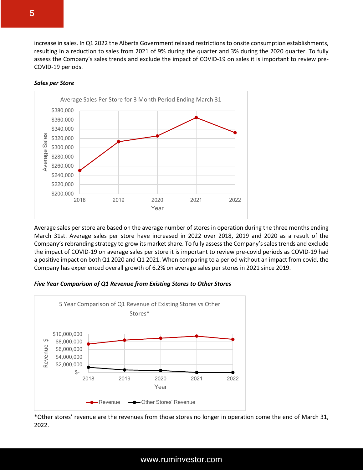increase in sales. In Q1 2022 the Alberta Government relaxed restrictions to onsite consumption establishments, resulting in a reduction to sales from 2021 of 9% during the quarter and 3% during the 2020 quarter. To fully assess the Company's sales trends and exclude the impact of COVID-19 on sales it is important to review pre-COVID-19 periods.



#### *Sales per Store*

Average sales per store are based on the average number of stores in operation during the three months ending March 31st. Average sales per store have increased in 2022 over 2018, 2019 and 2020 as a result of the Company's rebranding strategy to grow its market share. To fully assess the Company's sales trends and exclude the impact of COVID-19 on average sales per store it is important to review pre-covid periods as COVID-19 had a positive impact on both Q1 2020 and Q1 2021. When comparing to a period without an impact from covid, the Company has experienced overall growth of 6.2% on average sales per stores in 2021 since 2019.

#### *Five Year Comparison of Q1 Revenue from Existing Stores to Other Stores*



\*Other stores' revenue are the revenues from those stores no longer in operation come the end of March 31, 2022.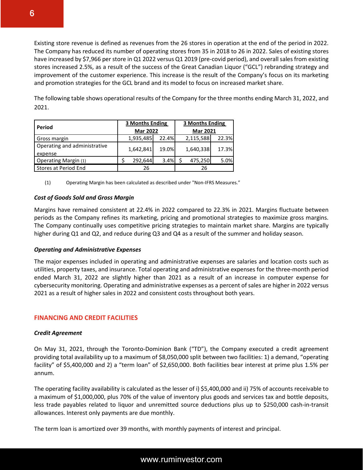Existing store revenue is defined as revenues from the 26 stores in operation at the end of the period in 2022. The Company has reduced its number of operating stores from 35 in 2018 to 26 in 2022. Sales of existing stores have increased by \$7,966 per store in Q1 2022 versus Q1 2019 (pre-covid period), and overall sales from existing stores increased 2.5%, as a result of the success of the Great Canadian Liquor ("GCL") rebranding strategy and improvement of the customer experience. This increase is the result of the Company's focus on its marketing and promotion strategies for the GCL brand and its model to focus on increased market share.

The following table shows operational results of the Company for the three months ending March 31, 2022, and 2021.

| Period                                  | <b>3 Months Ending</b> |       | <b>3 Months Ending</b> |       |  |  |
|-----------------------------------------|------------------------|-------|------------------------|-------|--|--|
|                                         | <b>Mar 2022</b>        |       | <b>Mar 2021</b>        |       |  |  |
| Gross margin                            | 1,935,485              | 22.4% | 2,115,588              | 22.3% |  |  |
| Operating and administrative<br>expense | 1,642,841              | 19.0% | 1,640,338              | 17.3% |  |  |
| Operating Margin (1)                    | 292,644                | 3.4%  | 475,250                | 5.0%  |  |  |
| Stores at Period End                    | 26                     |       | 26                     |       |  |  |

(1) Operating Margin has been calculated as described under "Non-IFRS Measures."

# *Cost of Goods Sold and Gross Margin*

Margins have remained consistent at 22.4% in 2022 compared to 22.3% in 2021. Margins fluctuate between periods as the Company refines its marketing, pricing and promotional strategies to maximize gross margins. The Company continually uses competitive pricing strategies to maintain market share. Margins are typically higher during Q1 and Q2, and reduce during Q3 and Q4 as a result of the summer and holiday season.

## *Operating and Administrative Expenses*

The major expenses included in operating and administrative expenses are salaries and location costs such as utilities, property taxes, and insurance. Total operating and administrative expenses for the three-month period ended March 31, 2022 are slightly higher than 2021 as a result of an increase in computer expense for cybersecurity monitoring. Operating and administrative expenses as a percent of sales are higher in 2022 versus 2021 as a result of higher sales in 2022 and consistent costs throughout both years.

# **FINANCING AND CREDIT FACILITIES**

## *Credit Agreement*

On May 31, 2021, through the Toronto-Dominion Bank ("TD"), the Company executed a credit agreement providing total availability up to a maximum of \$8,050,000 split between two facilities: 1) a demand, "operating facility" of \$5,400,000 and 2) a "term loan" of \$2,650,000. Both facilities bear interest at prime plus 1.5% per annum.

The operating facility availability is calculated as the lesser of i) \$5,400,000 and ii) 75% of accounts receivable to a maximum of \$1,000,000, plus 70% of the value of inventory plus goods and services tax and bottle deposits, less trade payables related to liquor and unremitted source deductions plus up to \$250,000 cash-in-transit allowances. Interest only payments are due monthly.

The term loan is amortized over 39 months, with monthly payments of interest and principal.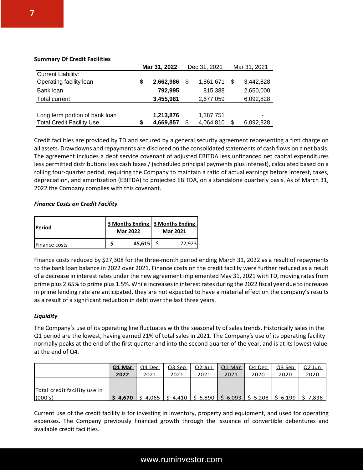#### **Summary Of Credit Facilities**

|                                  | Mar 31, 2022 |           | Dec 31, 2021 |    | Mar 31, 2021 |
|----------------------------------|--------------|-----------|--------------|----|--------------|
| <b>Current Liability:</b>        |              |           |              |    |              |
| Operating facility loan          |              | 2,662,986 | 1,861,671    | S  | 3,442,828    |
| Bank loan                        |              | 792,995   | 815,388      |    | 2,650,000    |
| Total current                    |              | 3,455,981 | 2,677,059    |    | 6,092,828    |
|                                  |              |           |              |    |              |
| Long term portion of bank loan   |              | 1,213,876 | 1,387,751    |    | ۰            |
| <b>Total Credit Facility Use</b> |              | 4,669,857 | 4,064,810    | \$ | 6,092,828    |

Credit facilities are provided by TD and secured by a general security agreement representing a first charge on all assets. Drawdowns and repayments are disclosed on the consolidated statements of cash flows on a net basis. The agreement includes a debt service covenant of adjusted EBITDA less unfinanced net capital expenditures less permitted distributions less cash taxes / (scheduled principal payments plus interest), calculated based on a rolling four-quarter period, requiring the Company to maintain a ratio of actual earnings before interest, taxes, depreciation, and amortization (EBITDA) to projected EBITDA, on a standalone quarterly basis. As of March 31, 2022 the Company complies with this covenant.

## *Finance Costs on Credit Facility*

| <b>Period</b>        | <b>Mar 2022</b> |        | 3 Months Ending   3 Months Ending  <br><b>Mar 2021</b> |        |  |
|----------------------|-----------------|--------|--------------------------------------------------------|--------|--|
| <b>Finance costs</b> |                 | 45,615 |                                                        | 72.923 |  |

Finance costs reduced by \$27,308 for the three-month period ending March 31, 2022 as a result of repayments to the bank loan balance in 2022 over 2021. Finance costs on the credit facility were further reduced as a result of a decrease in interest rates under the new agreement implemented May 31, 2021 with TD, moving rates from prime plus 2.65% to prime plus 1.5%. While increases in interest rates during the 2022 fiscal year due to increases in prime lending rate are anticipated, they are not expected to have a material effect on the company's results as a result of a significant reduction in debt over the last three years.

## *Liquidity*

The Company's use of its operating line fluctuates with the seasonality of sales trends. Historically sales in the Q1 period are the lowest, having earned 21% of total sales in 2021. The Company's use of its operating facility normally peaks at the end of the first quarter and into the second quarter of the year, and is at its lowest value at the end of Q4.

|                              | Q1 Mar | Q4 Dec                                                                                                                                                                        | $Q3$ Sep | $Q2$ Jun     | Q1 Mar | Q4 Dec       | Q3 Sep | Q2 Jun |
|------------------------------|--------|-------------------------------------------------------------------------------------------------------------------------------------------------------------------------------|----------|--------------|--------|--------------|--------|--------|
|                              | 2022   | 2021                                                                                                                                                                          | 2021     | <u> 2021</u> | 2021   | <u> 2020</u> | 2020   | 2020   |
|                              |        |                                                                                                                                                                               |          |              |        |              |        |        |
| Total credit facility use in |        |                                                                                                                                                                               |          |              |        |              |        |        |
| (000's)                      |        | $\frac{1}{2}$ 4,670   $\frac{1}{2}$ 4,065   $\frac{1}{2}$ 4,410   $\frac{1}{2}$ 5,890   $\frac{1}{2}$ 6,093   $\frac{1}{2}$ 5,208   $\frac{1}{2}$ 6,199   $\frac{1}{2}$ 7,836 |          |              |        |              |        |        |

Current use of the credit facility is for investing in inventory, property and equipment, and used for operating expenses. The Company previously financed growth through the issuance of convertible debentures and available credit facilities.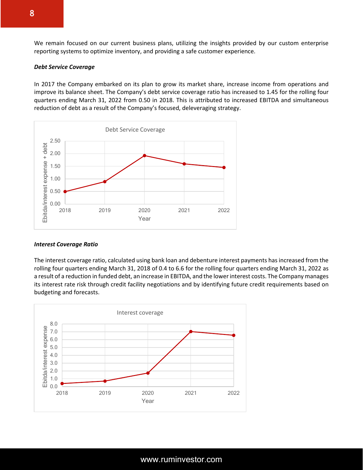We remain focused on our current business plans, utilizing the insights provided by our custom enterprise reporting systems to optimize inventory, and providing a safe customer experience.

#### *Debt Service Coverage*

In 2017 the Company embarked on its plan to grow its market share, increase income from operations and improve its balance sheet. The Company's debt service coverage ratio has increased to 1.45 for the rolling four quarters ending March 31, 2022 from 0.50 in 2018. This is attributed to increased EBITDA and simultaneous reduction of debt as a result of the Company's focused, deleveraging strategy.



#### *Interest Coverage Ratio*

The interest coverage ratio, calculated using bank loan and debenture interest payments has increased from the rolling four quarters ending March 31, 2018 of 0.4 to 6.6 for the rolling four quarters ending March 31, 2022 as a result of a reduction in funded debt, an increase in EBITDA, and the lower interest costs. The Company manages its interest rate risk through credit facility negotiations and by identifying future credit requirements based on budgeting and forecasts.

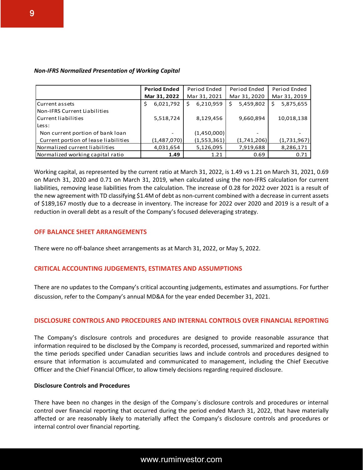| <b>Non-IFRS Normalized Presentation of Working Capital</b> |  |  |  |
|------------------------------------------------------------|--|--|--|
|------------------------------------------------------------|--|--|--|

|                                      | <b>Period Ended</b> | Period Ended   | Period Ended   | Period Ended    |
|--------------------------------------|---------------------|----------------|----------------|-----------------|
|                                      | Mar 31, 2022        | Mar 31, 2021   | Mar 31, 2020   | Mar 31, 2019    |
| Current assets                       | 6,021,792<br>\$     | 6,210,959<br>s | 5,459,802<br>S | 5,875,655<br>\$ |
| Non-IFRS Current Liabilities         |                     |                |                |                 |
| Current liabilities                  | 5,518,724           | 8,129,456      | 9,660,894      | 10,018,138      |
| Less:                                |                     |                |                |                 |
| Non current portion of bank loan     |                     | (1,450,000)    |                |                 |
| Current portion of lease liabilities | (1,487,070)         | (1,553,361)    | (1,741,206)    | (1,731,967)     |
| Normalized current liabilities       | 4,031,654           | 5,126,095      | 7,919,688      | 8,286,171       |
| Normalized working capital ratio     | 1.49                | 1.21           | 0.69           | 0.71            |

Working capital, as represented by the current ratio at March 31, 2022, is 1.49 vs 1.21 on March 31, 2021, 0.69 on March 31, 2020 and 0.71 on March 31, 2019, when calculated using the non-IFRS calculation for current liabilities, removing lease liabilities from the calculation. The increase of 0.28 for 2022 over 2021 is a result of the new agreement with TD classifying \$1.4M of debt as non-current combined with a decrease in current assets of \$189,167 mostly due to a decrease in inventory. The increase for 2022 over 2020 and 2019 is a result of a reduction in overall debt as a result of the Company's focused deleveraging strategy.

## **OFF BALANCE SHEET ARRANGEMENTS**

There were no off-balance sheet arrangements as at March 31, 2022, or May 5, 2022.

## **CRITICAL ACCOUNTING JUDGEMENTS, ESTIMATES AND ASSUMPTIONS**

There are no updates to the Company's critical accounting judgements, estimates and assumptions. For further discussion, refer to the Company's annual MD&A for the year ended December 31, 2021.

#### **DISCLOSURE CONTROLS AND PROCEDURES AND INTERNAL CONTROLS OVER FINANCIAL REPORTING**

The Company's disclosure controls and procedures are designed to provide reasonable assurance that information required to be disclosed by the Company is recorded, processed, summarized and reported within the time periods specified under Canadian securities laws and include controls and procedures designed to ensure that information is accumulated and communicated to management, including the Chief Executive Officer and the Chief Financial Officer, to allow timely decisions regarding required disclosure.

#### **Disclosure Controls and Procedures**

There have been no changes in the design of the Company`s disclosure controls and procedures or internal control over financial reporting that occurred during the period ended March 31, 2022, that have materially affected or are reasonably likely to materially affect the Company's disclosure controls and procedures or internal control over financial reporting.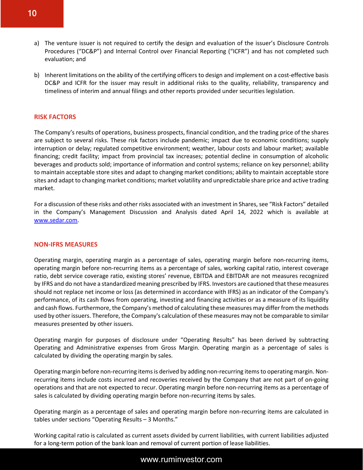- a) The venture issuer is not required to certify the design and evaluation of the issuer's Disclosure Controls Procedures ("DC&P") and Internal Control over Financial Reporting ("ICFR") and has not completed such evaluation; and
- b) Inherent limitations on the ability of the certifying officers to design and implement on a cost-effective basis DC&P and ICFR for the issuer may result in additional risks to the quality, reliability, transparency and timeliness of interim and annual filings and other reports provided under securities legislation.

#### **RISK FACTORS**

The Company's results of operations, business prospects, financial condition, and the trading price of the shares are subject to several risks. These risk factors include pandemic; impact due to economic conditions; supply interruption or delay; regulated competitive environment; weather, labour costs and labour market; available financing; credit facility; impact from provincial tax increases; potential decline in consumption of alcoholic beverages and products sold; importance of information and control systems; reliance on key personnel; ability to maintain acceptable store sites and adapt to changing market conditions; ability to maintain acceptable store sites and adapt to changing market conditions; market volatility and unpredictable share price and active trading market.

For a discussion of these risks and other risks associated with an investment in Shares, see "Risk Factors" detailed in the Company's Management Discussion and Analysis dated April 14, 2022 which is available at www.sedar.com.

#### **NON-IFRS MEASURES**

Operating margin, operating margin as a percentage of sales, operating margin before non-recurring items, operating margin before non-recurring items as a percentage of sales, working capital ratio, interest coverage ratio, debt service coverage ratio, existing stores' revenue, EBITDA and EBITDAR are not measures recognized by IFRS and do not have a standardized meaning prescribed by IFRS. Investors are cautioned that these measures should not replace net income or loss (as determined in accordance with IFRS) as an indicator of the Company's performance, of its cash flows from operating, investing and financing activities or as a measure of its liquidity and cash flows. Furthermore, the Company's method of calculating these measures may differ from the methods used by other issuers. Therefore, the Company's calculation of these measures may not be comparable to similar measures presented by other issuers.

Operating margin for purposes of disclosure under "Operating Results" has been derived by subtracting Operating and Administrative expenses from Gross Margin. Operating margin as a percentage of sales is calculated by dividing the operating margin by sales.

Operating margin before non-recurring items is derived by adding non-recurring items to operating margin. Nonrecurring items include costs incurred and recoveries received by the Company that are not part of on-going operations and that are not expected to recur. Operating margin before non-recurring items as a percentage of sales is calculated by dividing operating margin before non-recurring items by sales.

Operating margin as a percentage of sales and operating margin before non-recurring items are calculated in tables under sections "Operating Results – 3 Months."

Working capital ratio is calculated as current assets divided by current liabilities, with current liabilities adjusted for a long-term potion of the bank loan and removal of current portion of lease liabilities.